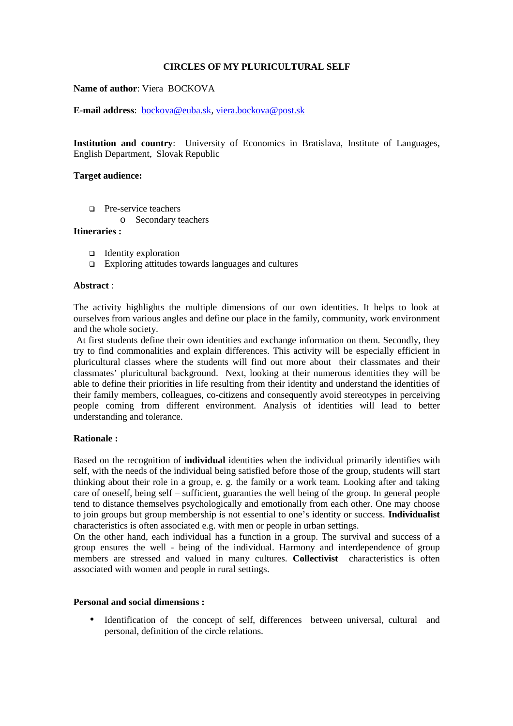# **CIRCLES OF MY PLURICULTURAL SELF**

# **Name of author**: Viera BOCKOVA

**E-mail address**: bockova@euba.sk, viera.bockova@post.sk

**Institution and country**: University of Economics in Bratislava, Institute of Languages, English Department, Slovak Republic

# **Target audience:**

- □ Pre-service teachers
	- o Secondary teachers

# **Itineraries :**

- $\Box$  Identity exploration
- $\Box$  Exploring attitudes towards languages and cultures

# **Abstract** :

The activity highlights the multiple dimensions of our own identities. It helps to look at ourselves from various angles and define our place in the family, community, work environment and the whole society.

 At first students define their own identities and exchange information on them. Secondly, they try to find commonalities and explain differences. This activity will be especially efficient in pluricultural classes where the students will find out more about their classmates and their classmates' pluricultural background. Next, looking at their numerous identities they will be able to define their priorities in life resulting from their identity and understand the identities of their family members, colleagues, co-citizens and consequently avoid stereotypes in perceiving people coming from different environment. Analysis of identities will lead to better understanding and tolerance.

#### **Rationale :**

Based on the recognition of **individual** identities when the individual primarily identifies with self, with the needs of the individual being satisfied before those of the group, students will start thinking about their role in a group, e. g. the family or a work team. Looking after and taking care of oneself, being self – sufficient, guaranties the well being of the group. In general people tend to distance themselves psychologically and emotionally from each other. One may choose to join groups but group membership is not essential to one's identity or success. **Individualist** characteristics is often associated e.g. with men or people in urban settings.

On the other hand, each individual has a function in a group. The survival and success of a group ensures the well - being of the individual. Harmony and interdependence of group members are stressed and valued in many cultures. **Collectivist** characteristics is often associated with women and people in rural settings.

# **Personal and social dimensions :**

• Identification of the concept of self, differences between universal, cultural and personal, definition of the circle relations.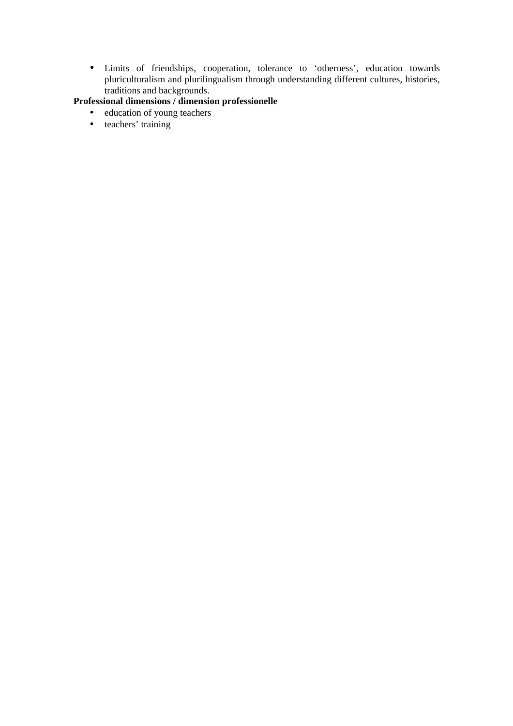• Limits of friendships, cooperation, tolerance to 'otherness', education towards pluriculturalism and plurilingualism through understanding different cultures, histories, traditions and backgrounds.

# **Professional dimensions / dimension professionelle**

- education of young teachers
- teachers' training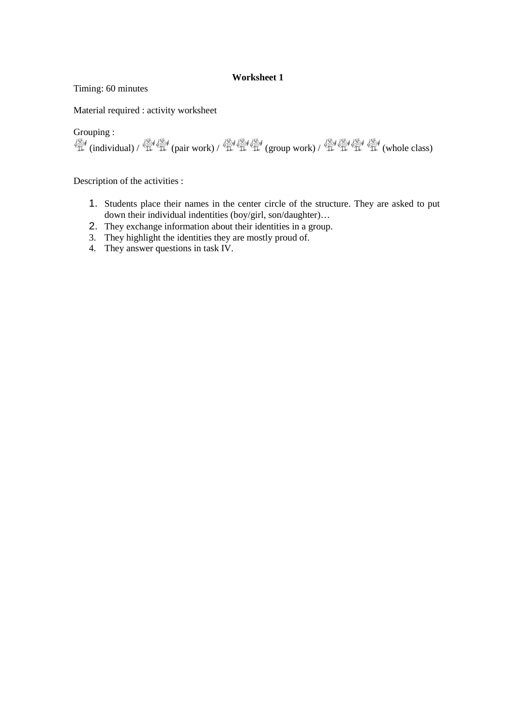# **Worksheet 1**

Timing: 60 minutes

Material required : activity worksheet

Grouping :

 $\mathbb{C}$  (individual) /  $\mathbb{C}$  (pair work) /  $\mathbb{C}$   $\mathbb{C}$  (group work) /  $\mathbb{C}$   $\mathbb{C}$  (whole class)

Description of the activities :

- 1. Students place their names in the center circle of the structure. They are asked to put down their individual indentities (boy/girl, son/daughter)…
- 2. They exchange information about their identities in a group.
- 3. They highlight the identities they are mostly proud of.
- 4. They answer questions in task IV.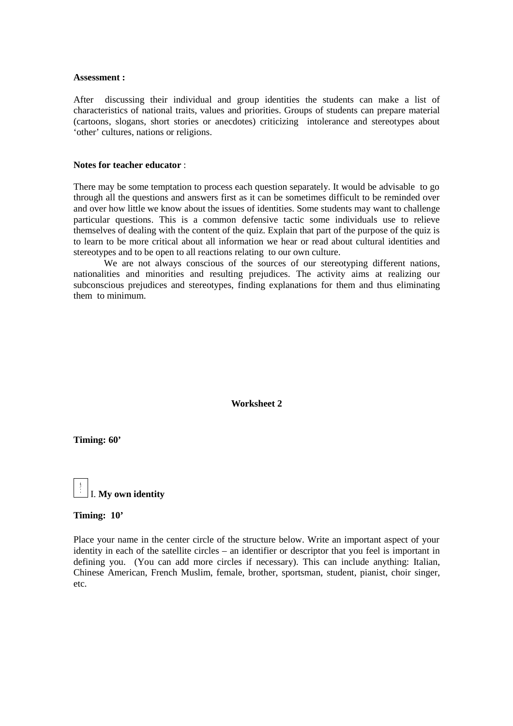#### **Assessment :**

After discussing their individual and group identities the students can make a list of characteristics of national traits, values and priorities. Groups of students can prepare material (cartoons, slogans, short stories or anecdotes) criticizing intolerance and stereotypes about 'other' cultures, nations or religions.

## **Notes for teacher educator** :

There may be some temptation to process each question separately. It would be advisable to go through all the questions and answers first as it can be sometimes difficult to be reminded over and over how little we know about the issues of identities. Some students may want to challenge particular questions. This is a common defensive tactic some individuals use to relieve themselves of dealing with the content of the quiz. Explain that part of the purpose of the quiz is to learn to be more critical about all information we hear or read about cultural identities and stereotypes and to be open to all reactions relating to our own culture.

We are not always conscious of the sources of our stereotyping different nations, nationalities and minorities and resulting prejudices. The activity aims at realizing our subconscious prejudices and stereotypes, finding explanations for them and thus eliminating them to minimum.

**Worksheet 2**

**Timing: 60'**



#### **Timing: 10'**

Place your name in the center circle of the structure below. Write an important aspect of your identity in each of the satellite circles – an identifier or descriptor that you feel is important in defining you. (You can add more circles if necessary). This can include anything: Italian, Chinese American, French Muslim, female, brother, sportsman, student, pianist, choir singer, etc.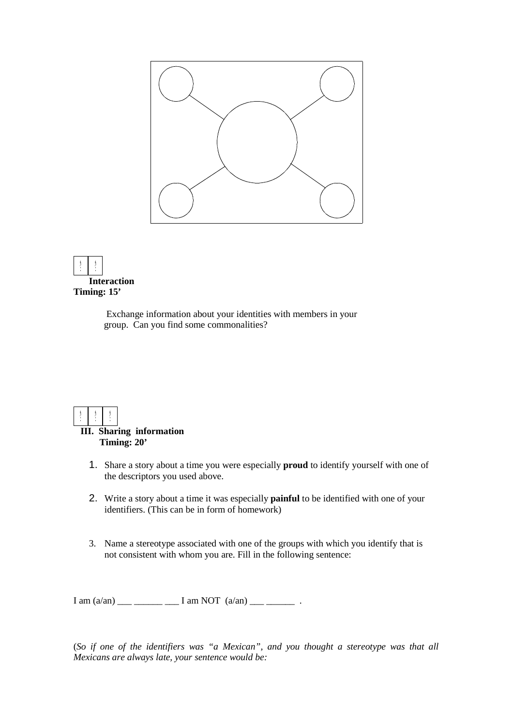



# **Timing: 15'**

 Exchange information about your identities with members in your group. Can you find some commonalities?



# **III. Sharing information Timing: 20'**

- 1. Share a story about a time you were especially **proud** to identify yourself with one of the descriptors you used above.
- 2. Write a story about a time it was especially **painful** to be identified with one of your identifiers. (This can be in form of homework)
- 3. Name a stereotype associated with one of the groups with which you identify that is not consistent with whom you are. Fill in the following sentence:

 $I \text{ am } (a/\text{an})$  \_\_\_ \_\_\_\_\_\_ \_\_\_ I am NOT  $(a/\text{an})$  \_\_\_ \_\_\_\_\_\_\_\_ .

(*So if one of the identifiers was "a Mexican", and you thought a stereotype was that all Mexicans are always late, your sentence would be:*